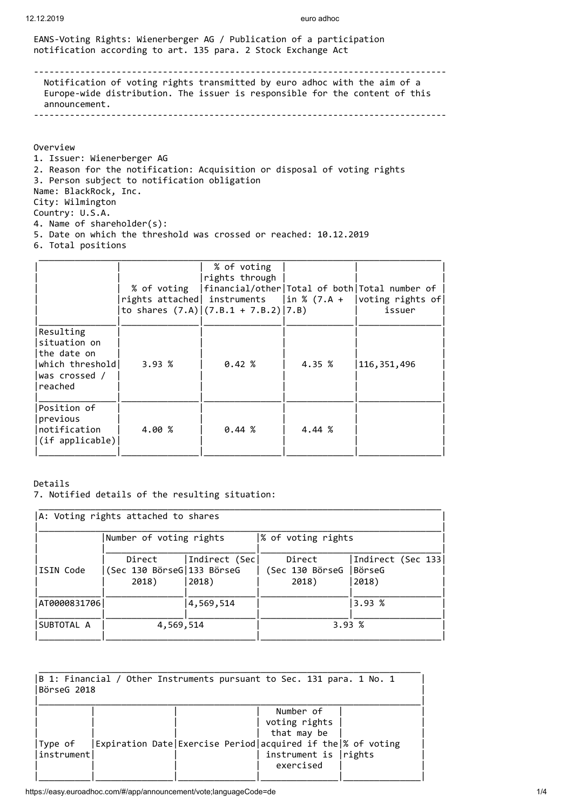EANS-Voting Rights: Wienerberger AG / Publication of a participation notification according to art. 135 para. 2 Stock Exchange Act

-------------------------------------------------------------------------------- Notification of voting rights transmitted by euro adhoc with the aim of a Europe-wide distribution. The issuer is responsible for the content of this announcement. --------------------------------------------------------------------------------

Overview

1. Issuer: Wienerberger AG 2. Reason for the notification: Acquisition or disposal of voting rights 3. Person subject to notification obligation Name: BlackRock, Inc. City: Wilmington Country: U.S.A. 4. Name of shareholder(s): 5. Date on which the threshold was crossed or reached: 10.12.2019

6. Total positions

|                                                                                         |        | % of voting<br>rights through<br>to shares $(7.A)(7.B.1 + 7.B.2)/7.B)$ |        | % of voting   financial/other  Total of both  Total number of<br>rights attached instruments $\vert$ in % (7.A + $\vert$ voting rights of<br>issuer |
|-----------------------------------------------------------------------------------------|--------|------------------------------------------------------------------------|--------|-----------------------------------------------------------------------------------------------------------------------------------------------------|
| Resulting<br>situation on<br>the date on<br>which threshold<br>was crossed /<br>reached | 3.93%  | 0.42%                                                                  | 4.35 % | 116, 351, 496                                                                                                                                       |
| Position of<br>previous<br>Inotification<br>(if applicable)                             | 4.00 % | 0.44~%                                                                 | 4.44 % |                                                                                                                                                     |

## Details

7. Notified details of the resulting situation:

| A: Voting rights attached to shares |                                               |                         |                                    |                                       |  |
|-------------------------------------|-----------------------------------------------|-------------------------|------------------------------------|---------------------------------------|--|
| Number of voting rights             |                                               |                         | % of voting rights                 |                                       |  |
| ISIN Code                           | Direct<br>(Sec 130 BörseG 133 BörseG<br>2018) | Indirect (Sec <br>2018) | Direct<br>(Sec 130 BörseG<br>2018) | Indirect (Sec 133)<br>BörseG<br>2018) |  |
| AT0000831706                        |                                               | 4,569,514               |                                    | 3.93%                                 |  |
| SUBTOTAL A                          | 4,569,514                                     |                         |                                    | 3.93%                                 |  |

| $ B$ 1: Financial / Other Instruments pursuant to Sec. 131 para. 1 No. 1<br>BörseG 2018 |  |  |                                                                                                                                                 |  |
|-----------------------------------------------------------------------------------------|--|--|-------------------------------------------------------------------------------------------------------------------------------------------------|--|
| Type of<br> instrument                                                                  |  |  | Number of<br>voting rights<br>that may be<br>Expiration Date Exercise Period acquired if the % of voting<br>instrument is   rights<br>exercised |  |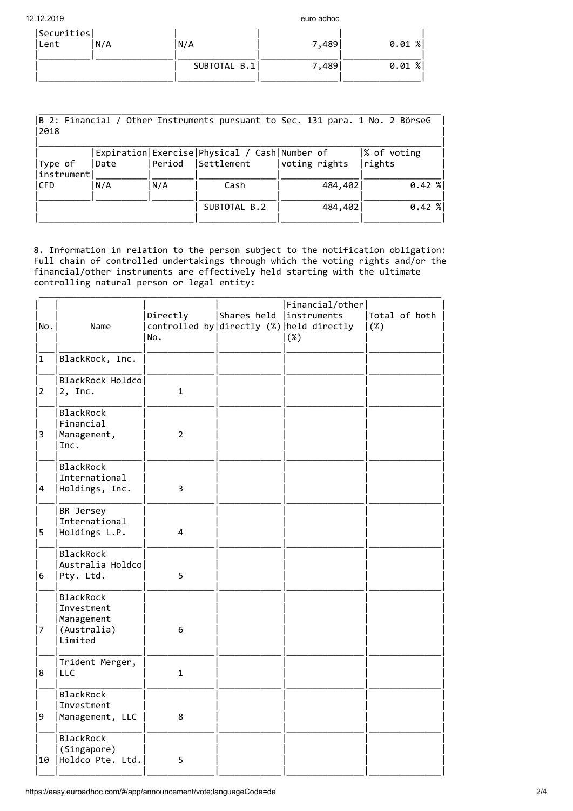| 12.12.2019  |              | euro adhoc |          |
|-------------|--------------|------------|----------|
| Securities  |              |            |          |
| Lent<br>N/A | N/A          | 7,489      | 0.01%    |
|             |              |            |          |
|             | SUBTOTAL B.1 | 7,489      | $0.01$ % |
|             |              |            |          |

| 2018    | B 2: Financial / Other Instruments pursuant to Sec. 131 para. 1 No. 2 BörseG |      |        |                                                                   |               |                       |
|---------|------------------------------------------------------------------------------|------|--------|-------------------------------------------------------------------|---------------|-----------------------|
| Type of | instrument                                                                   | Date | Period | Expiration   Exercise   Physical / Cash   Number of<br>Settlement | voting rights | % of voting<br>rights |
| l CFD   |                                                                              | N/A  | N/A    | Cash                                                              | 484,402       | $0.42$ %              |
|         |                                                                              |      |        | SUBTOTAL B.2                                                      | 484,402       | $0.42$ %              |

8. Information in relation to the person subject to the notification obligation: Full chain of controlled undertakings through which the voting rights and/or the financial/other instruments are effectively held starting with the ultimate controlling natural person or legal entity:

| No.            | Name                                                            | Directly<br>No. | Shares held   instruments | Financial/other<br>controlled by directly (%) held directly<br>(%) | Total of both<br>(%) |
|----------------|-----------------------------------------------------------------|-----------------|---------------------------|--------------------------------------------------------------------|----------------------|
| 1              | BlackRock, Inc.                                                 |                 |                           |                                                                    |                      |
| $\overline{2}$ | BlackRock Holdco<br>$2$ , Inc.                                  | $\mathbf{1}$    |                           |                                                                    |                      |
| 3              | BlackRock<br>Financial<br>Management,<br>Inc.                   | $\overline{2}$  |                           |                                                                    |                      |
| 4              | BlackRock<br>International<br>Holdings, Inc.                    | 3               |                           |                                                                    |                      |
| 5              | BR Jersey<br>International<br>Holdings L.P.                     | 4               |                           |                                                                    |                      |
| 6              | <b>BlackRock</b><br>Australia Holdco<br>Pty. Ltd.               | 5               |                           |                                                                    |                      |
| 7              | BlackRock<br>Investment<br>Management<br>(Australia)<br>Limited | 6               |                           |                                                                    |                      |
| 18             | Trident Merger,<br><b>LLC</b>                                   | $\mathbf{1}$    |                           |                                                                    |                      |
| 9              | BlackRock<br>Investment<br>Management, LLC                      | 8               |                           |                                                                    |                      |
| 10             | BlackRock<br>(Singapore)<br> Holdco Pte. Ltd.                   | 5               |                           |                                                                    |                      |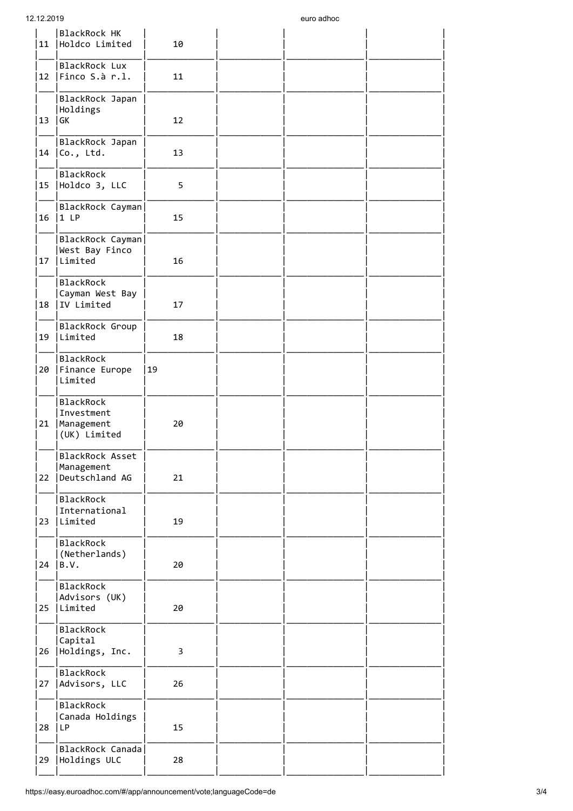| BlackRock HK<br>Holdco Limited                        | 10 |                                                          |  |
|-------------------------------------------------------|----|----------------------------------------------------------|--|
| BlackRock Lux<br>$ 12 $   Finco S.à r.l.              | 11 |                                                          |  |
| BlackRock Japan<br>Holdings<br>GK                     | 12 |                                                          |  |
| BlackRock Japan<br>Co., Ltd.                          | 13 |                                                          |  |
| BlackRock<br>Holdco 3, LLC                            | 5  |                                                          |  |
| 1LP                                                   | 15 |                                                          |  |
| West Bay Finco<br> Limited                            | 16 |                                                          |  |
| BlackRock<br>Cayman West Bay<br>IV Limited            | 17 |                                                          |  |
| BlackRock Group<br>Limited                            | 18 |                                                          |  |
| BlackRock<br>Finance Europe<br>Limited                | 19 |                                                          |  |
| BlackRock<br>Investment<br>Management<br>(UK) Limited | 20 |                                                          |  |
| BlackRock Asset<br>Management<br>Deutschland AG       | 21 |                                                          |  |
| BlackRock<br>International<br>Limited                 | 19 |                                                          |  |
| BlackRock<br>(Netherlands)<br>B.V.                    | 20 |                                                          |  |
| BlackRock<br>Advisors (UK)<br>Limited                 | 20 |                                                          |  |
| BlackRock<br>Capital<br>Holdings, Inc.                | 3  |                                                          |  |
| BlackRock<br>Advisors, LLC                            | 26 |                                                          |  |
| BlackRock<br>Canada Holdings<br>LP                    | 15 |                                                          |  |
| Holdings ULC                                          | 28 |                                                          |  |
|                                                       |    | BlackRock Cayman<br>BlackRock Cayman<br>BlackRock Canada |  |